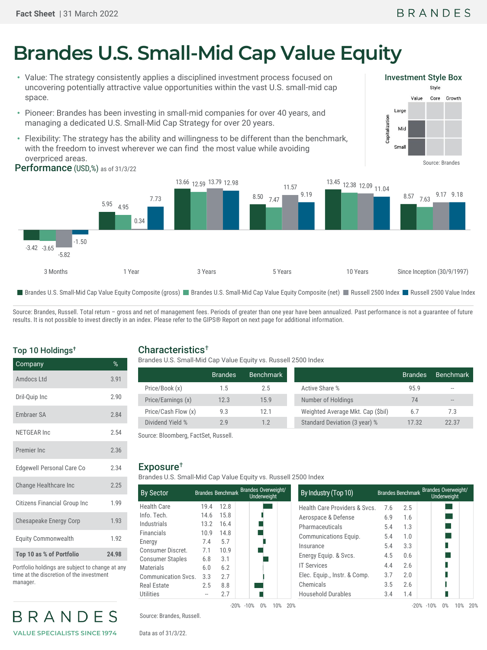Investment Style Box

Value

Large

Small

Capitalization Mid Style

Core

Growth

# **Brandes U.S. Small-Mid Cap Value Equity**

- Value: The strategy consistently applies a disciplined investment process focused on uncovering potentially attractive value opportunities within the vast U.S. small-mid cap space.
- Pioneer: Brandes has been investing in small-mid companies for over 40 years, and managing a dedicated U.S. Small-Mid Cap Strategy for over 20 years.
- Flexibility: The strategy has the ability and willingness to be different than the benchmark, with the freedom to invest wherever we can find the most value while avoiding overpriced areas.



Source: Brandes, Russell. Total return - gross and net of management fees. Periods of greater than one year have been annualized. Past performance is not a guarantee of future results. It is not possible to invest directly in an index. Please refer to the GIPS® Report on next page for additional information.

## Top 10 Holdings†

| Company                             | $\%$  |
|-------------------------------------|-------|
| Amdocs I td                         | 3.91  |
| Dril-Quip Inc                       | 2.90  |
| <b>Embraer SA</b>                   | 2.84  |
| NFTGFAR Inc                         | 2.54  |
| Premier Inc.                        | 2.36  |
| Edgewell Personal Care Co           | 2.34  |
| Change Healthcare Inc               | 2.25  |
| <b>Citizens Financial Group Inc</b> | 1.99  |
| Chesapeake Energy Corp              | 1.93  |
| <b>Equity Commonwealth</b>          | 1.92  |
| Top 10 as % of Portfolio            | 24.98 |

Portfolio holdings are subject to change at any time at the discretion of the investment manager.

BRANDES **VALUE SPECIALISTS SINCE 1974**

## Characteristics†

Brandes U.S. Small-Mid Cap Value Equity vs. Russell 2500 Index

|                     | <b>Brandes</b> | Benchmark |                                   | Brandes' | <b>Benchmark</b>  |
|---------------------|----------------|-----------|-----------------------------------|----------|-------------------|
| Price/Book (x)      | 1.5            | 2.5       | Active Share %                    | 95.9     | $\qquad \qquad -$ |
| Price/Earnings (x)  | 12.3           | 15.9      | Number of Holdings                | 74       | $- -$             |
| Price/Cash Flow (x) | 9.3            | 12.1      | Weighted Average Mkt. Cap (\$bil) | 6.7      | 7.3               |
| Dividend Yield %    | 2.9            | 1.2       | Standard Deviation (3 year) %     | 17.32    | 22.37             |

Source: Bloomberg, FactSet, Russell.

#### Exposure†

Brandes U.S. Small-Mid Cap Value Equity vs. Russell 2500 Index

| <b>By Sector</b>           |      |      | Brandes Benchmark Brandes Overweight/<br><b>Underweight</b> | By Industry (Top 10)      |
|----------------------------|------|------|-------------------------------------------------------------|---------------------------|
| <b>Health Care</b>         | 19.4 | 12.8 |                                                             | Health Care Provider      |
| Info. Tech.                | 14.6 | 15.8 |                                                             | Aerospace & Defense       |
| Industrials                | 13.2 | 16.4 |                                                             | Pharmaceuticals           |
| <b>Financials</b>          | 10.9 | 14.8 |                                                             | <b>Communications Equ</b> |
| Energy                     | 7.4  | 5.7  |                                                             | Insurance                 |
| Consumer Discret.          | 7.1  | 10.9 |                                                             |                           |
| <b>Consumer Staples</b>    | 6.8  | 3.1  |                                                             | Energy Equip. & Svcs      |
| <b>Materials</b>           | 6.0  | 6.2  |                                                             | <b>IT Services</b>        |
| <b>Communication Svcs.</b> | 3.3  | 2.7  |                                                             | Elec. Equip., Instr. &    |
| <b>Real Estate</b>         | 2.5  | 8.8  |                                                             | Chemicals                 |
| Utilities                  |      | 2.7  |                                                             | <b>Household Durables</b> |
|                            |      |      | $-20\% -10\%$<br>$0\%$<br>10%<br>20%                        |                           |

|      |        | Brandes Benchmark Brandes Overweight/<br><b>Underweight</b> | By Industry (Top 10)          |     |        | Brandes Benchmark Brandes Overweight/<br>Underweight |
|------|--------|-------------------------------------------------------------|-------------------------------|-----|--------|------------------------------------------------------|
| 19.4 | 12.8   |                                                             | Health Care Providers & Svcs. | 7.6 | 2.5    |                                                      |
| 14.6 | 15.8   |                                                             | Aerospace & Defense           | 6.9 | 1.6    |                                                      |
| 13.2 | 16.4   |                                                             | Pharmaceuticals               | 5.4 | 1.3    |                                                      |
| 10.9 | 14.8   |                                                             | Communications Equip.         | 5.4 | 1.0    |                                                      |
| 7.4  | 5.7    |                                                             | Insurance                     | 5.4 | 3.3    |                                                      |
| 7.1  | 10.9   |                                                             |                               | 4.5 | 0.6    |                                                      |
| 6.8  | 3.1    |                                                             | Energy Equip. & Svcs.         |     |        |                                                      |
| 6.0  | 6.2    |                                                             | <b>IT Services</b>            | 4.4 | 2.6    |                                                      |
| 3.3  | 2.7    |                                                             | Elec. Equip., Instr. & Comp.  | 3.7 | 2.0    |                                                      |
| 2.5  | 8.8    |                                                             | Chemicals                     | 3.5 | 2.6    |                                                      |
|      | 2.7    |                                                             | <b>Household Durables</b>     | 3.4 | 1.4    |                                                      |
|      | $-20%$ | 20%<br>$-10%$<br>0%<br>10%                                  |                               |     | $-20%$ | 10%<br>$0\%$<br>$-10%$                               |

Source: Brandes, Russell.

Data as of 31/3/22.